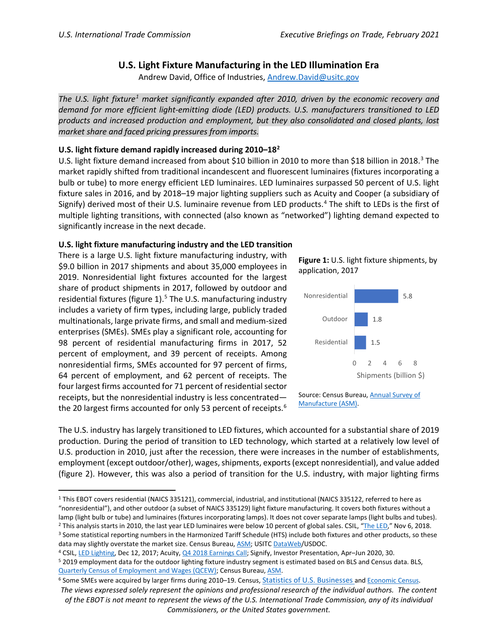# **U.S. Light Fixture Manufacturing in the LED Illumination Era**

Andrew David, Office of Industries, [Andrew.David@usitc.gov](mailto:Andrew.David@usitc.gov)

*The U.S. light fixture[1](#page-0-0) market significantly expanded after 2010, driven by the economic recovery and demand for more efficient light-emitting diode (LED) products. U.S. manufacturers transitioned to LED products and increased production and employment, but they also consolidated and closed plants, lost market share and faced pricing pressures from imports.*

## **U.S. light fixture demand rapidly increased during 2010–18[2](#page-0-1)**

U.S. light fixture demand increased from about \$10 billion in 2010 to more than \$18 billion in 2018.<sup>[3](#page-0-2)</sup> The market rapidly shifted from traditional incandescent and fluorescent luminaires (fixtures incorporating a bulb or tube) to more energy efficient LED luminaires. LED luminaires surpassed 50 percent of U.S. light fixture sales in 2016, and by 2018–19 major lighting suppliers such as Acuity and Cooper (a subsidiary of Signify) derived most of their U.S. luminaire revenue from LED products.<sup>4</sup> The shift to LEDs is the first of multiple lighting transitions, with connected (also known as "networked") lighting demand expected to significantly increase in the next decade.

## **U.S. light fixture manufacturing industry and the LED transition**

There is a large U.S. light fixture manufacturing industry, with \$9.0 billion in 2017 shipments and about 35,000 employees in 2019. Nonresidential light fixtures accounted for the largest share of product shipments in 2017, followed by outdoor and residential fixtures (figure 1). [5](#page-0-4) The U.S. manufacturing industry includes a variety of firm types, including large, publicly traded multinationals, large private firms, and small and medium-sized enterprises (SMEs). SMEs play a significant role, accounting for 98 percent of residential manufacturing firms in 2017, 52 percent of employment, and 39 percent of receipts. Among nonresidential firms, SMEs accounted for 97 percent of firms, 64 percent of employment, and 62 percent of receipts. The four largest firms accounted for 71 percent of residential sector receipts, but the nonresidential industry is less concentrated— the 20 largest firms accounted for only 53 percent of receipts.<sup>[6](#page-0-5)</sup>





Source: Census Bureau, [Annual Survey of](https://data.census.gov/cedsci)  [Manufacture](https://data.census.gov/cedsci) (ASM).

The U.S. industry has largely transitioned to LED fixtures, which accounted for a substantial share of 2019 production. During the period of transition to LED technology, which started at a relatively low level of U.S. production in 2010, just after the recession, there were increases in the number of establishments, employment (except outdoor/other), wages, shipments, exports(except nonresidential), and value added (figure 2). However, this was also a period of transition for the U.S. industry, with major lighting firms

<span id="page-0-0"></span><sup>1</sup> This EBOT covers residential (NAICS 335121), commercial, industrial, and institutional (NAICS 335122, referred to here as "nonresidential"), and other outdoor (a subset of NAICS 335129) light fixture manufacturing. It covers both fixtures without a lamp (light bulb or tube) and luminaires (fixtures incorporating lamps). It does not cover separate lamps (light bulbs and tubes).<br><sup>2</sup> This analysis starts in 2010, the last year LED luminaires were below 10 percent of glo data may slightly overstate the market size. Census Bureau[, ASM;](https://data.census.gov/cedsci) USIT[C DataWeb/](https://dataweb.usitc.gov/)USDOC.

<span id="page-0-3"></span><span id="page-0-2"></span><span id="page-0-1"></span>

<span id="page-0-4"></span><sup>&</sup>lt;sup>4</sup> CSIL[, LED Lighting,](https://lighting.csilmilano.com/fixtures/led-lighting-whats-0000951.html) Dec 12, 2017; Acuity[, Q4 2018 Earnings Call;](https://www.fool.com/earnings/call-transcripts/2018/10/03/acuity-brands-inc-ayi-q4-2018-earnings-conference.aspx) Signify, Investor Presentation, Apr-Jun 2020, 30.<br><sup>5</sup> 2019 employment data for the outdoor lighting fixture industry segment is estimated based on BLS an [Quarterly Census of Employment and Wages](https://www.bls.gov/cew/data.htm) (QCEW); Census Bureau, [ASM.](https://data.census.gov/cedsci)

<span id="page-0-5"></span>*The views expressed solely represent the opinions and professional research of the individual authors. The content of the EBOT is not meant to represent the views of the U.S. International Trade Commission, any of its individual Commissioners, or the United States government.* <sup>6</sup> Some SMEs were acquired by larger firms during 2010–19. Census, [Statistics of U.S. Businesses](https://www.census.gov/programs-surveys/susb.html) and [Economic Census.](https://data.census.gov/cedsci/table?q=335121,%20335122,%20335129&tid=ECNSIZE2017.EC1700SIZECONCEN&hidePreview=false)